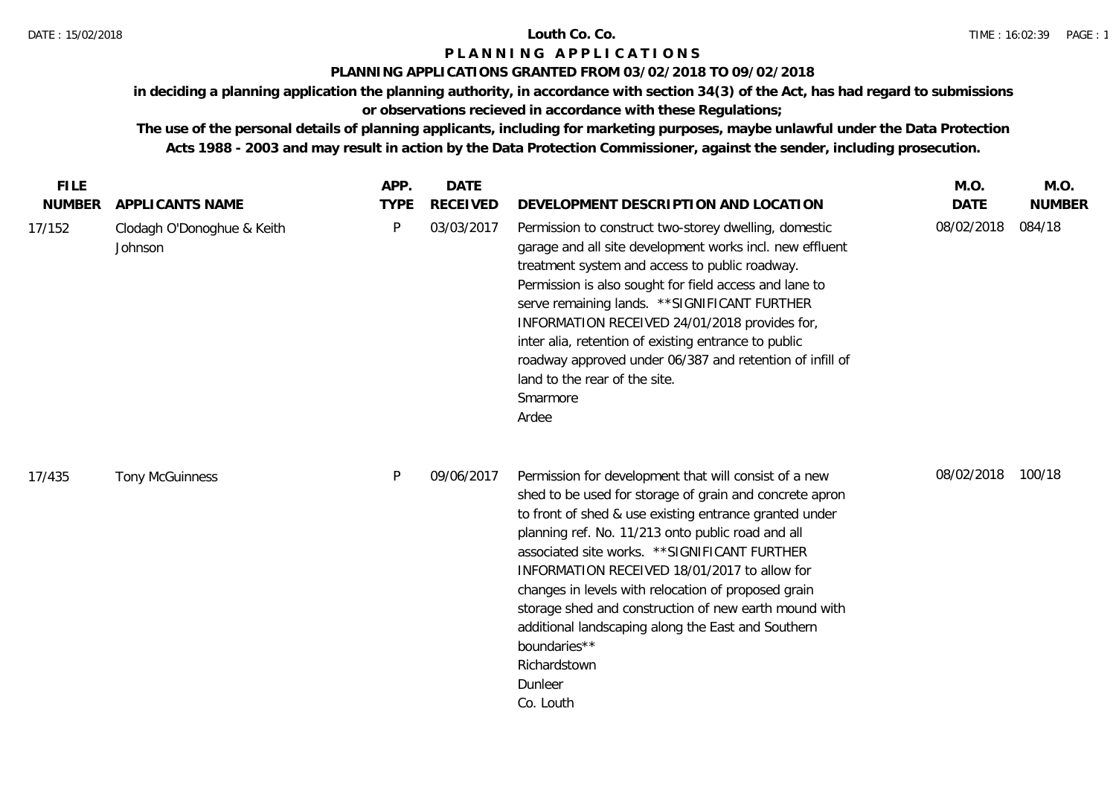### **PLANNING APPLICATIONS GRANTED FROM 03/02/2018 TO 09/02/2018**

**in deciding a planning application the planning authority, in accordance with section 34(3) of the Act, has had regard to submissions** 

# **or observations recieved in accordance with these Regulations;**

| <b>FILE</b>             |                                                          | APP.             | <b>DATE</b>                   |                                                                                                                                                                                                                                                                                                                                                                                                                                                                                                                                                                | M.O.                      | M.O.                    |
|-------------------------|----------------------------------------------------------|------------------|-------------------------------|----------------------------------------------------------------------------------------------------------------------------------------------------------------------------------------------------------------------------------------------------------------------------------------------------------------------------------------------------------------------------------------------------------------------------------------------------------------------------------------------------------------------------------------------------------------|---------------------------|-------------------------|
| <b>NUMBER</b><br>17/152 | APPLICANTS NAME<br>Clodagh O'Donoghue & Keith<br>Johnson | <b>TYPE</b><br>P | <b>RECEIVED</b><br>03/03/2017 | DEVELOPMENT DESCRIPTION AND LOCATION<br>Permission to construct two-storey dwelling, domestic<br>garage and all site development works incl. new effluent<br>treatment system and access to public roadway.<br>Permission is also sought for field access and lane to<br>serve remaining lands. ** SIGNIFICANT FURTHER<br>INFORMATION RECEIVED 24/01/2018 provides for,<br>inter alia, retention of existing entrance to public<br>roadway approved under 06/387 and retention of infill of<br>land to the rear of the site.<br>Smarmore<br>Ardee              | <b>DATE</b><br>08/02/2018 | <b>NUMBER</b><br>084/18 |
| 17/435                  | <b>Tony McGuinness</b>                                   | P                | 09/06/2017                    | Permission for development that will consist of a new<br>shed to be used for storage of grain and concrete apron<br>to front of shed & use existing entrance granted under<br>planning ref. No. 11/213 onto public road and all<br>associated site works. ** SIGNIFICANT FURTHER<br>INFORMATION RECEIVED 18/01/2017 to allow for<br>changes in levels with relocation of proposed grain<br>storage shed and construction of new earth mound with<br>additional landscaping along the East and Southern<br>boundaries**<br>Richardstown<br>Dunleer<br>Co. Louth | 08/02/2018                | 100/18                  |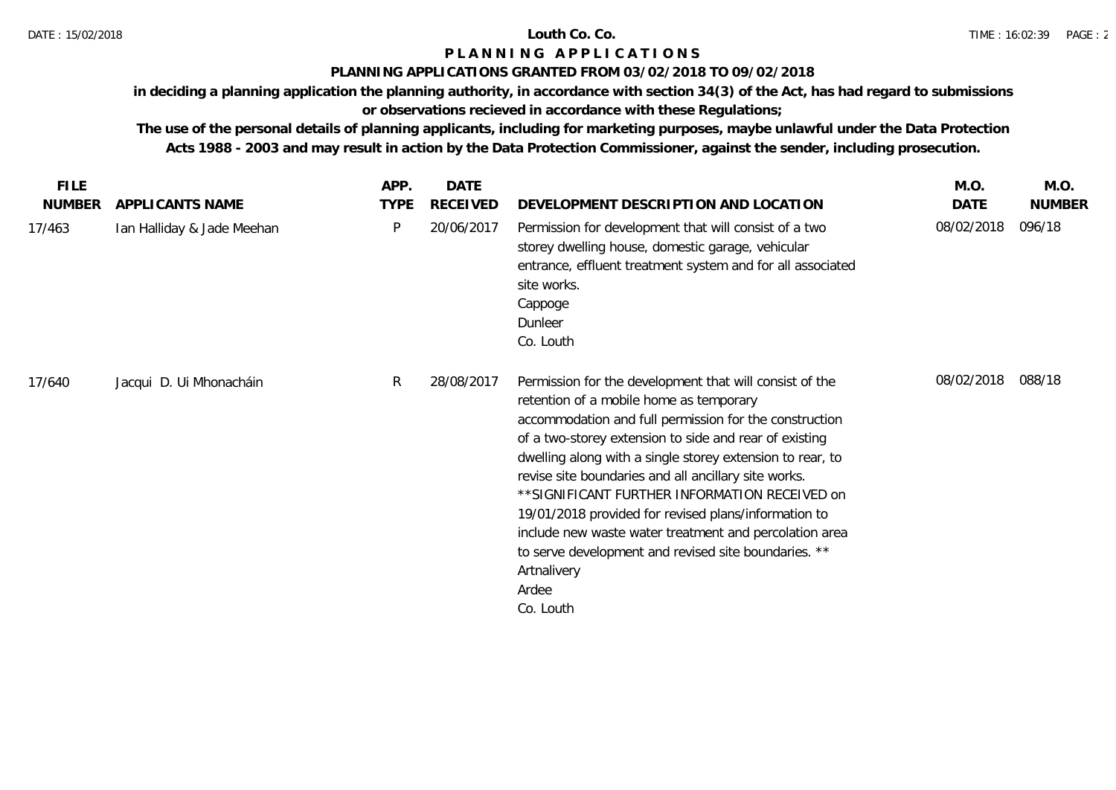### **PLANNING APPLICATIONS GRANTED FROM 03/02/2018 TO 09/02/2018**

**in deciding a planning application the planning authority, in accordance with section 34(3) of the Act, has had regard to submissions** 

# **or observations recieved in accordance with these Regulations;**

| <b>FILE</b>   |                            | APP.        | <b>DATE</b>     |                                                                                                                                                                                                                                                                                                                                                                                                                                                                                                                                                                                                              | M.O.       | M.O.          |
|---------------|----------------------------|-------------|-----------------|--------------------------------------------------------------------------------------------------------------------------------------------------------------------------------------------------------------------------------------------------------------------------------------------------------------------------------------------------------------------------------------------------------------------------------------------------------------------------------------------------------------------------------------------------------------------------------------------------------------|------------|---------------|
| <b>NUMBER</b> | APPLICANTS NAME            | <b>TYPE</b> | <b>RECEIVED</b> | DEVELOPMENT DESCRIPTION AND LOCATION                                                                                                                                                                                                                                                                                                                                                                                                                                                                                                                                                                         | DATE       | <b>NUMBER</b> |
| 17/463        | Ian Halliday & Jade Meehan | P           | 20/06/2017      | Permission for development that will consist of a two<br>storey dwelling house, domestic garage, vehicular<br>entrance, effluent treatment system and for all associated<br>site works.<br>Cappoge<br>Dunleer<br>Co. Louth                                                                                                                                                                                                                                                                                                                                                                                   | 08/02/2018 | 096/18        |
| 17/640        | Jacqui D. Ui Mhonacháin    | R           | 28/08/2017      | Permission for the development that will consist of the<br>retention of a mobile home as temporary<br>accommodation and full permission for the construction<br>of a two-storey extension to side and rear of existing<br>dwelling along with a single storey extension to rear, to<br>revise site boundaries and all ancillary site works.<br>** SIGNIFICANT FURTHER INFORMATION RECEIVED on<br>19/01/2018 provided for revised plans/information to<br>include new waste water treatment and percolation area<br>to serve development and revised site boundaries. **<br>Artnalivery<br>Ardee<br>Co. Louth | 08/02/2018 | 088/18        |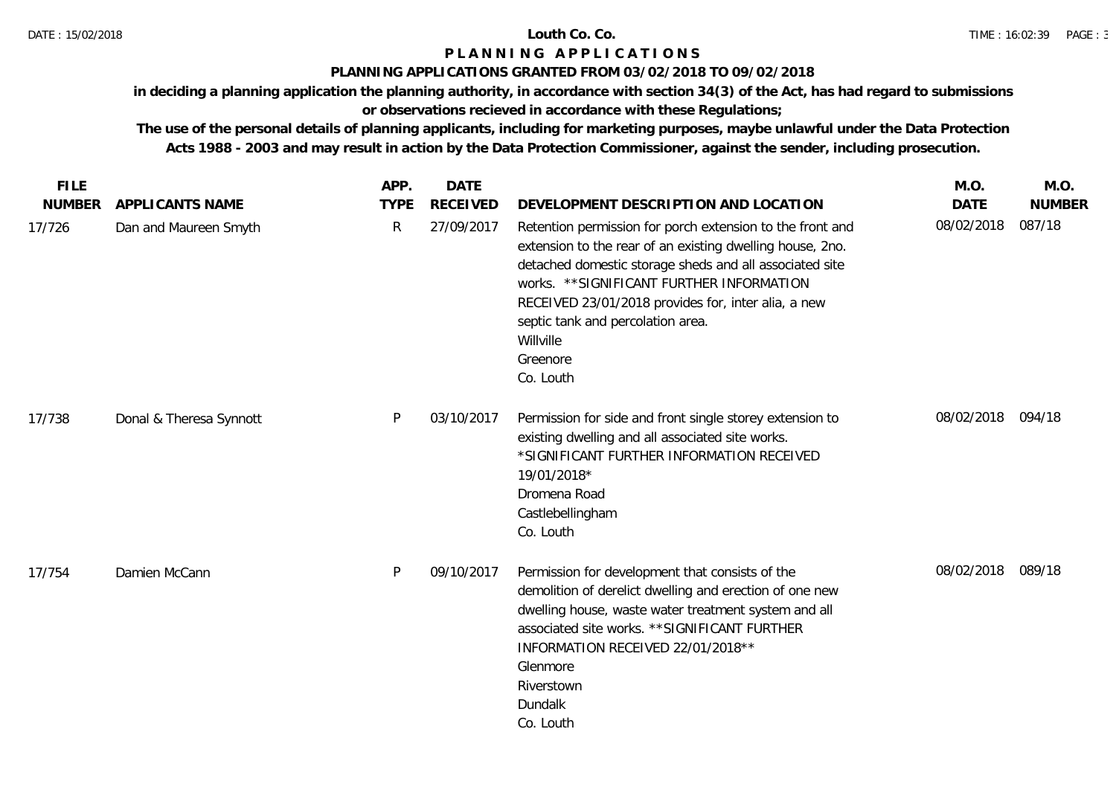### **PLANNING APPLICATIONS GRANTED FROM 03/02/2018 TO 09/02/2018**

**in deciding a planning application the planning authority, in accordance with section 34(3) of the Act, has had regard to submissions** 

# **or observations recieved in accordance with these Regulations;**

| <b>FILE</b>   |                         | APP.         | <b>DATE</b>     |                                                                                                                                                                                                                                                                                                                                                                  | M.O.              | M.O.          |
|---------------|-------------------------|--------------|-----------------|------------------------------------------------------------------------------------------------------------------------------------------------------------------------------------------------------------------------------------------------------------------------------------------------------------------------------------------------------------------|-------------------|---------------|
| <b>NUMBER</b> | <b>APPLICANTS NAME</b>  | <b>TYPE</b>  | <b>RECEIVED</b> | DEVELOPMENT DESCRIPTION AND LOCATION                                                                                                                                                                                                                                                                                                                             | <b>DATE</b>       | <b>NUMBER</b> |
| 17/726        | Dan and Maureen Smyth   | $\mathsf{R}$ | 27/09/2017      | Retention permission for porch extension to the front and<br>extension to the rear of an existing dwelling house, 2no.<br>detached domestic storage sheds and all associated site<br>works. ** SIGNIFICANT FURTHER INFORMATION<br>RECEIVED 23/01/2018 provides for, inter alia, a new<br>septic tank and percolation area.<br>Willville<br>Greenore<br>Co. Louth | 08/02/2018        | 087/18        |
| 17/738        | Donal & Theresa Synnott | P            | 03/10/2017      | Permission for side and front single storey extension to<br>existing dwelling and all associated site works.<br>*SIGNIFICANT FURTHER INFORMATION RECEIVED<br>19/01/2018*<br>Dromena Road<br>Castlebellingham<br>Co. Louth                                                                                                                                        | 08/02/2018 094/18 |               |
| 17/754        | Damien McCann           | P            | 09/10/2017      | Permission for development that consists of the<br>demolition of derelict dwelling and erection of one new<br>dwelling house, waste water treatment system and all<br>associated site works. ** SIGNIFICANT FURTHER<br>INFORMATION RECEIVED 22/01/2018 **<br>Glenmore<br>Riverstown<br>Dundalk<br>Co. Louth                                                      | 08/02/2018        | 089/18        |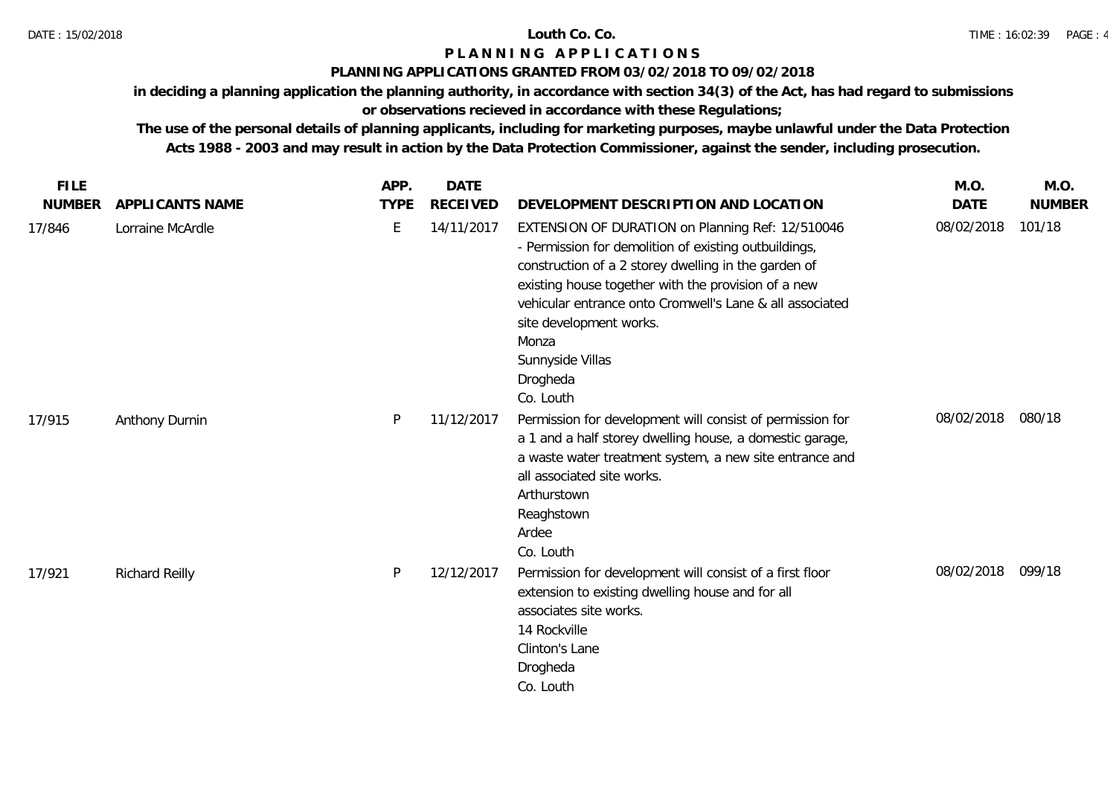### **PLANNING APPLICATIONS GRANTED FROM 03/02/2018 TO 09/02/2018**

**in deciding a planning application the planning authority, in accordance with section 34(3) of the Act, has had regard to submissions** 

# **or observations recieved in accordance with these Regulations;**

| <b>FILE</b>   |                  | APP.        | <b>DATE</b>     |                                                                                                                                                                                                                                                                                                                                                                       | M.O.              | M.O.          |
|---------------|------------------|-------------|-----------------|-----------------------------------------------------------------------------------------------------------------------------------------------------------------------------------------------------------------------------------------------------------------------------------------------------------------------------------------------------------------------|-------------------|---------------|
| <b>NUMBER</b> | APPLICANTS NAME  | <b>TYPE</b> | <b>RECEIVED</b> | DEVELOPMENT DESCRIPTION AND LOCATION                                                                                                                                                                                                                                                                                                                                  | <b>DATE</b>       | <b>NUMBER</b> |
| 17/846        | Lorraine McArdle | E           | 14/11/2017      | EXTENSION OF DURATION on Planning Ref: 12/510046<br>- Permission for demolition of existing outbuildings,<br>construction of a 2 storey dwelling in the garden of<br>existing house together with the provision of a new<br>vehicular entrance onto Cromwell's Lane & all associated<br>site development works.<br>Monza<br>Sunnyside Villas<br>Drogheda<br>Co. Louth | 08/02/2018        | 101/18        |
| 17/915        | Anthony Durnin   | P           | 11/12/2017      | Permission for development will consist of permission for<br>a 1 and a half storey dwelling house, a domestic garage,<br>a waste water treatment system, a new site entrance and<br>all associated site works.<br>Arthurstown<br>Reaghstown<br>Ardee<br>Co. Louth                                                                                                     | 08/02/2018        | 080/18        |
| 17/921        | Richard Reilly   | P           | 12/12/2017      | Permission for development will consist of a first floor<br>extension to existing dwelling house and for all<br>associates site works.<br>14 Rockville<br>Clinton's Lane<br>Drogheda<br>Co. Louth                                                                                                                                                                     | 08/02/2018 099/18 |               |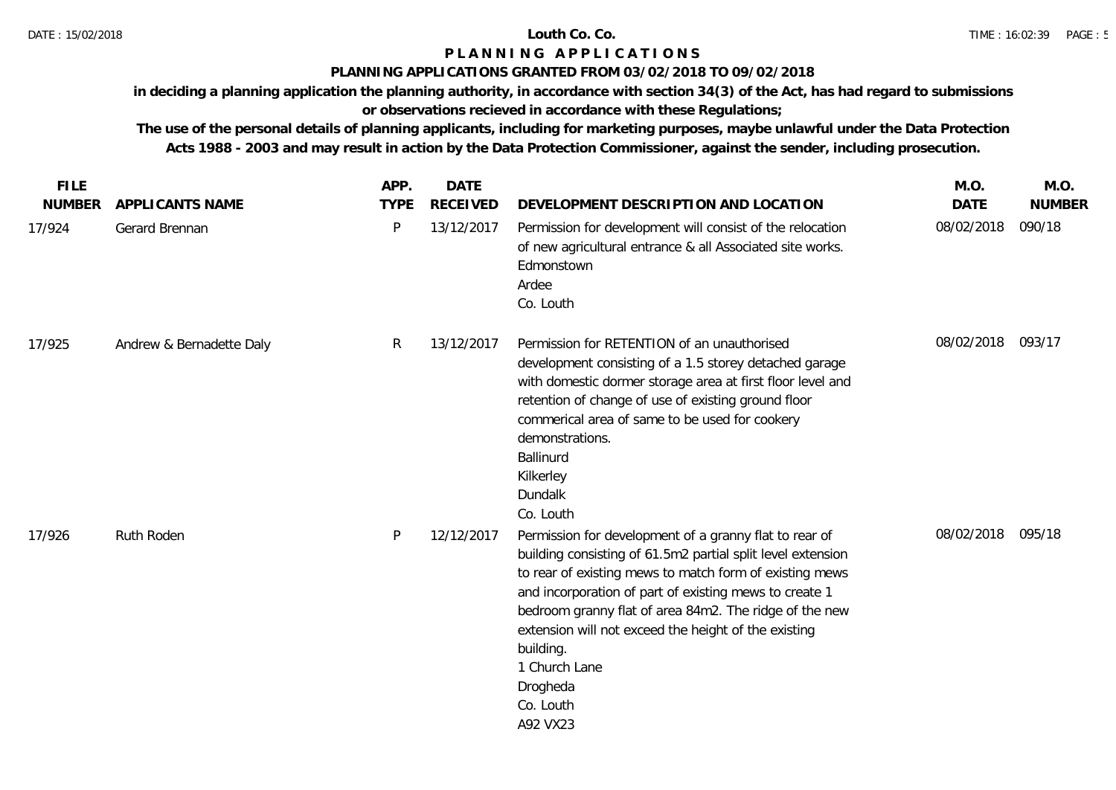### **PLANNING APPLICATIONS GRANTED FROM 03/02/2018 TO 09/02/2018**

**in deciding a planning application the planning authority, in accordance with section 34(3) of the Act, has had regard to submissions** 

# **or observations recieved in accordance with these Regulations;**

| <b>FILE</b>   |                          | APP.         | <b>DATE</b>     |                                                                                                                                                                                                                                                                                                                                                                                                                                 | M.O.        | M.O.          |
|---------------|--------------------------|--------------|-----------------|---------------------------------------------------------------------------------------------------------------------------------------------------------------------------------------------------------------------------------------------------------------------------------------------------------------------------------------------------------------------------------------------------------------------------------|-------------|---------------|
| <b>NUMBER</b> | APPLICANTS NAME          | <b>TYPE</b>  | <b>RECEIVED</b> | DEVELOPMENT DESCRIPTION AND LOCATION                                                                                                                                                                                                                                                                                                                                                                                            | <b>DATE</b> | <b>NUMBER</b> |
| 17/924        | Gerard Brennan           | $\mathsf{P}$ | 13/12/2017      | Permission for development will consist of the relocation<br>of new agricultural entrance & all Associated site works.<br>Edmonstown<br>Ardee<br>Co. Louth                                                                                                                                                                                                                                                                      | 08/02/2018  | 090/18        |
| 17/925        | Andrew & Bernadette Daly | R.           | 13/12/2017      | Permission for RETENTION of an unauthorised<br>development consisting of a 1.5 storey detached garage<br>with domestic dormer storage area at first floor level and<br>retention of change of use of existing ground floor<br>commerical area of same to be used for cookery<br>demonstrations.<br>Ballinurd<br>Kilkerley<br>Dundalk<br>Co. Louth                                                                               | 08/02/2018  | 093/17        |
| 17/926        | Ruth Roden               | P            | 12/12/2017      | Permission for development of a granny flat to rear of<br>building consisting of 61.5m2 partial split level extension<br>to rear of existing mews to match form of existing mews<br>and incorporation of part of existing mews to create 1<br>bedroom granny flat of area 84m2. The ridge of the new<br>extension will not exceed the height of the existing<br>building.<br>1 Church Lane<br>Drogheda<br>Co. Louth<br>A92 VX23 | 08/02/2018  | 095/18        |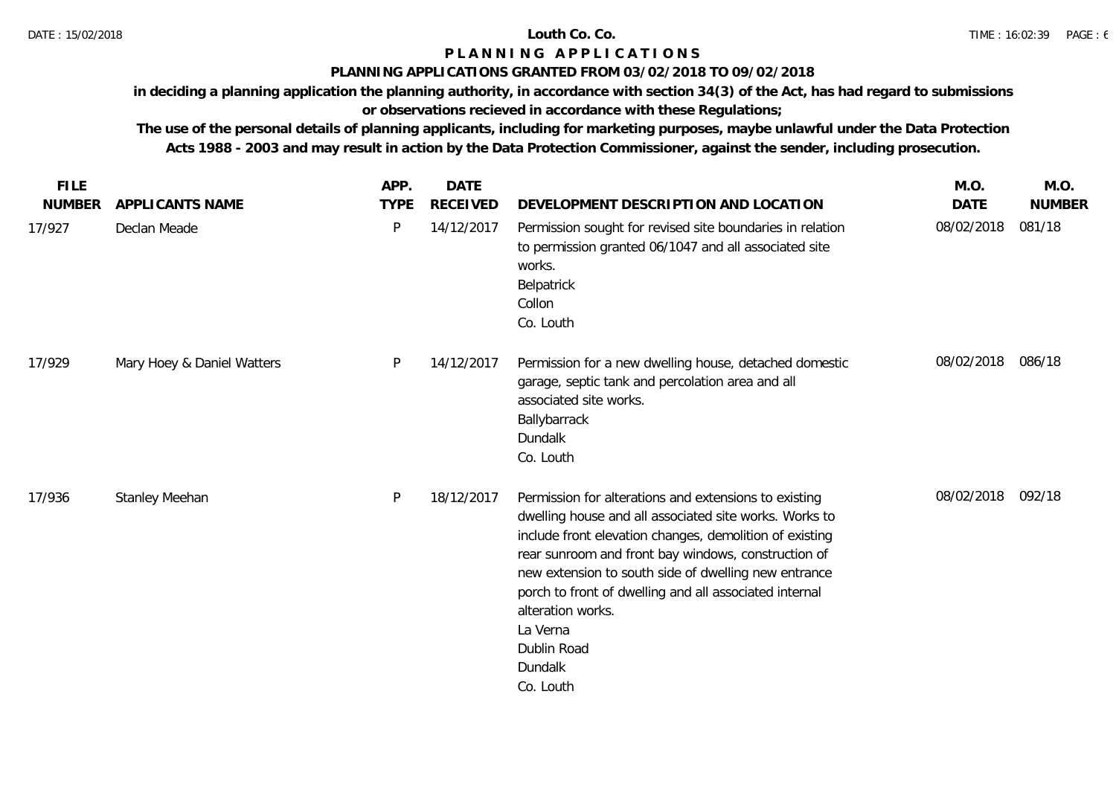### **PLANNING APPLICATIONS GRANTED FROM 03/02/2018 TO 09/02/2018**

**in deciding a planning application the planning authority, in accordance with section 34(3) of the Act, has had regard to submissions** 

# **or observations recieved in accordance with these Regulations;**

| <b>FILE</b><br><b>NUMBER</b> | APPLICANTS NAME            | APP.<br><b>TYPE</b> | <b>DATE</b><br><b>RECEIVED</b> | DEVELOPMENT DESCRIPTION AND LOCATION                                                                                                                                                                                                                                                                                                                                                                                        | M.O.<br><b>DATE</b> | M.O.<br><b>NUMBER</b> |
|------------------------------|----------------------------|---------------------|--------------------------------|-----------------------------------------------------------------------------------------------------------------------------------------------------------------------------------------------------------------------------------------------------------------------------------------------------------------------------------------------------------------------------------------------------------------------------|---------------------|-----------------------|
| 17/927                       | Declan Meade               | P                   | 14/12/2017                     | Permission sought for revised site boundaries in relation<br>to permission granted 06/1047 and all associated site<br>works.<br>Belpatrick<br>Collon<br>Co. Louth                                                                                                                                                                                                                                                           | 08/02/2018          | 081/18                |
| 17/929                       | Mary Hoey & Daniel Watters | P                   | 14/12/2017                     | Permission for a new dwelling house, detached domestic<br>garage, septic tank and percolation area and all<br>associated site works.<br>Ballybarrack<br>Dundalk<br>Co. Louth                                                                                                                                                                                                                                                | 08/02/2018          | 086/18                |
| 17/936                       | Stanley Meehan             | P                   | 18/12/2017                     | Permission for alterations and extensions to existing<br>dwelling house and all associated site works. Works to<br>include front elevation changes, demolition of existing<br>rear sunroom and front bay windows, construction of<br>new extension to south side of dwelling new entrance<br>porch to front of dwelling and all associated internal<br>alteration works.<br>La Verna<br>Dublin Road<br>Dundalk<br>Co. Louth | 08/02/2018 092/18   |                       |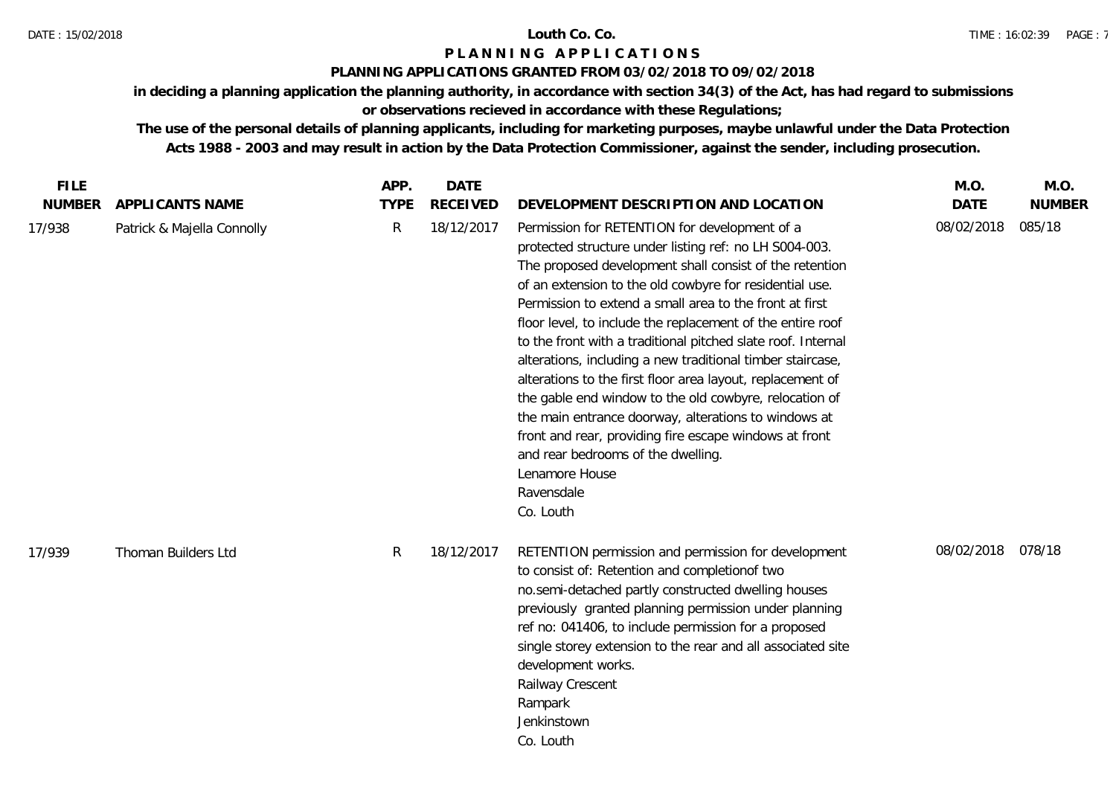### DATE : 15/02/2018 **Louth Co. Co.**

## **P L A N N I N G A P P L I C A T I O N S**

### **PLANNING APPLICATIONS GRANTED FROM 03/02/2018 TO 09/02/2018**

**in deciding a planning application the planning authority, in accordance with section 34(3) of the Act, has had regard to submissions** 

# **or observations recieved in accordance with these Regulations;**

| <b>FILE</b>   |                            | APP.        | <b>DATE</b>     |                                                                                                                                                                                                                                                                                                                                                                                                                                                                                                                                                                                                                                                                                                                                                                                                                   | M.O.        | M.O.          |
|---------------|----------------------------|-------------|-----------------|-------------------------------------------------------------------------------------------------------------------------------------------------------------------------------------------------------------------------------------------------------------------------------------------------------------------------------------------------------------------------------------------------------------------------------------------------------------------------------------------------------------------------------------------------------------------------------------------------------------------------------------------------------------------------------------------------------------------------------------------------------------------------------------------------------------------|-------------|---------------|
| <b>NUMBER</b> | APPLICANTS NAME            | <b>TYPE</b> | <b>RECEIVED</b> | DEVELOPMENT DESCRIPTION AND LOCATION                                                                                                                                                                                                                                                                                                                                                                                                                                                                                                                                                                                                                                                                                                                                                                              | <b>DATE</b> | <b>NUMBER</b> |
| 17/938        | Patrick & Majella Connolly | R           | 18/12/2017      | Permission for RETENTION for development of a<br>protected structure under listing ref: no LH S004-003.<br>The proposed development shall consist of the retention<br>of an extension to the old cowbyre for residential use.<br>Permission to extend a small area to the front at first<br>floor level, to include the replacement of the entire roof<br>to the front with a traditional pitched slate roof. Internal<br>alterations, including a new traditional timber staircase,<br>alterations to the first floor area layout, replacement of<br>the gable end window to the old cowbyre, relocation of<br>the main entrance doorway, alterations to windows at<br>front and rear, providing fire escape windows at front<br>and rear bedrooms of the dwelling.<br>Lenamore House<br>Ravensdale<br>Co. Louth | 08/02/2018  | 085/18        |
| 17/939        | Thoman Builders Ltd        | R           | 18/12/2017      | RETENTION permission and permission for development<br>to consist of: Retention and completionof two<br>no.semi-detached partly constructed dwelling houses<br>previously granted planning permission under planning<br>ref no: 041406, to include permission for a proposed<br>single storey extension to the rear and all associated site<br>development works.<br>Railway Crescent<br>Rampark<br>Jenkinstown<br>Co. Louth                                                                                                                                                                                                                                                                                                                                                                                      | 08/02/2018  | 078/18        |